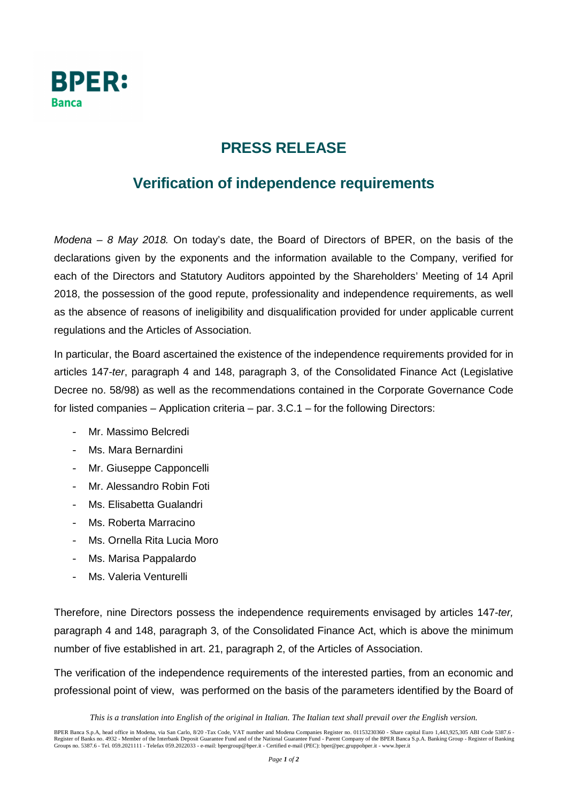

## **PRESS RELEASE**

## **Verification of independence requirements**

Modena – 8 May 2018. On today's date, the Board of Directors of BPER, on the basis of the declarations given by the exponents and the information available to the Company, verified for each of the Directors and Statutory Auditors appointed by the Shareholders' Meeting of 14 April 2018, the possession of the good repute, professionality and independence requirements, as well as the absence of reasons of ineligibility and disqualification provided for under applicable current regulations and the Articles of Association.

In particular, the Board ascertained the existence of the independence requirements provided for in articles 147-ter, paragraph 4 and 148, paragraph 3, of the Consolidated Finance Act (Legislative Decree no. 58/98) as well as the recommendations contained in the Corporate Governance Code for listed companies – Application criteria – par. 3.C.1 – for the following Directors:

- Mr. Massimo Belcredi
- Ms. Mara Bernardini
- Mr. Giuseppe Capponcelli
- Mr. Alessandro Robin Foti
- Ms. Elisabetta Gualandri
- Ms. Roberta Marracino
- Ms. Ornella Rita Lucia Moro
- Ms. Marisa Pappalardo
- Ms. Valeria Venturelli

Therefore, nine Directors possess the independence requirements envisaged by articles 147-ter, paragraph 4 and 148, paragraph 3, of the Consolidated Finance Act, which is above the minimum number of five established in art. 21, paragraph 2, of the Articles of Association.

The verification of the independence requirements of the interested parties, from an economic and professional point of view, was performed on the basis of the parameters identified by the Board of

*This is a translation into English of the original in Italian. The Italian text shall prevail over the English version.*